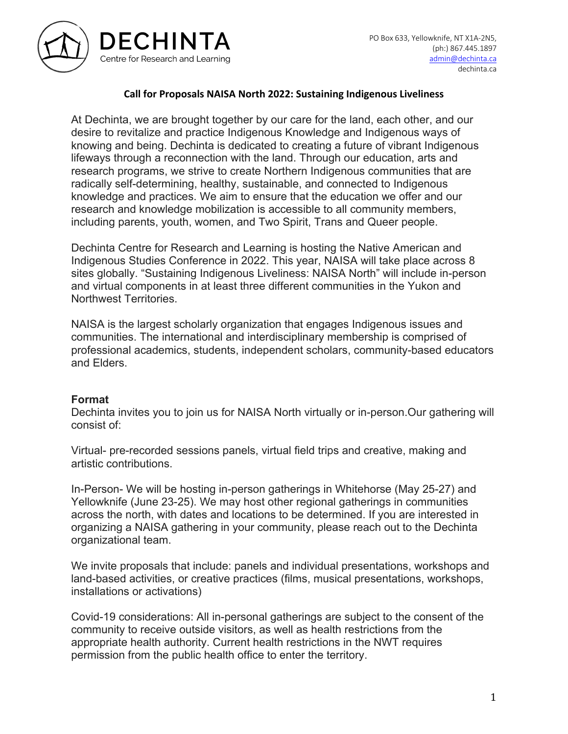

## **Call for Proposals NAISA North 2022: Sustaining Indigenous Liveliness**

At Dechinta, we are brought together by our care for the land, each other, and our desire to revitalize and practice Indigenous Knowledge and Indigenous ways of knowing and being. Dechinta is dedicated to creating a future of vibrant Indigenous lifeways through a reconnection with the land. Through our education, arts and research programs, we strive to create Northern Indigenous communities that are radically self-determining, healthy, sustainable, and connected to Indigenous knowledge and practices. We aim to ensure that the education we offer and our research and knowledge mobilization is accessible to all community members, including parents, youth, women, and Two Spirit, Trans and Queer people.

Dechinta Centre for Research and Learning is hosting the Native American and Indigenous Studies Conference in 2022. This year, NAISA will take place across 8 sites globally. "Sustaining Indigenous Liveliness: NAISA North" will include in-person and virtual components in at least three different communities in the Yukon and Northwest Territories.

NAISA is the largest scholarly organization that engages Indigenous issues and communities. The international and interdisciplinary membership is comprised of professional academics, students, independent scholars, community-based educators and Elders.

## **Format**

Dechinta invites you to join us for NAISA North virtually or in-person.Our gathering will consist of:

Virtual- pre-recorded sessions panels, virtual field trips and creative, making and artistic contributions.

In-Person- We will be hosting in-person gatherings in Whitehorse (May 25-27) and Yellowknife (June 23-25). We may host other regional gatherings in communities across the north, with dates and locations to be determined. If you are interested in organizing a NAISA gathering in your community, please reach out to the Dechinta organizational team.

We invite proposals that include: panels and individual presentations, workshops and land-based activities, or creative practices (films, musical presentations, workshops, installations or activations)

Covid-19 considerations: All in-personal gatherings are subject to the consent of the community to receive outside visitors, as well as health restrictions from the appropriate health authority. Current health restrictions in the NWT requires permission from the public health office to enter the territory.